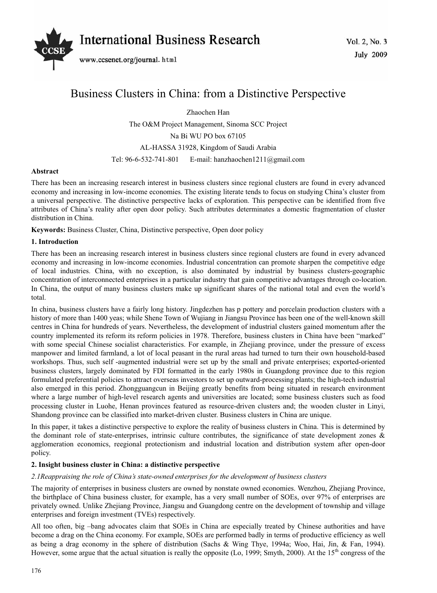

# Business Clusters in China: from a Distinctive Perspective

Zhaochen Han The O&M Project Management, Sinoma SCC Project Na Bi WU PO box 67105 AL-HASSA 31928, Kingdom of Saudi Arabia Tel: 96-6-532-741-801 E-mail: hanzhaochen1211@gmail.com

## **Abstract**

There has been an increasing research interest in business clusters since regional clusters are found in every advanced economy and increasing in low-income economies. The existing literate tends to focus on studying China's cluster from a universal perspective. The distinctive perspective lacks of exploration. This perspective can be identified from five attributes of China's reality after open door policy. Such attributes determinates a domestic fragmentation of cluster distribution in China.

**Keywords:** Business Cluster, China, Distinctive perspective, Open door policy

# **1. Introduction**

There has been an increasing research interest in business clusters since regional clusters are found in every advanced economy and increasing in low-income economies. Industrial concentration can promote sharpen the competitive edge of local industries. China, with no exception, is also dominated by industrial by business clusters-geographic concentration of interconnected enterprises in a particular industry that gain competitive advantages through co-location. In China, the output of many business clusters make up significant shares of the national total and even the world's total.

In china, business clusters have a fairly long history. Jingdezhen has p pottery and porcelain production clusters with a history of more than 1400 yeas; while Shene Town of Wujiang in Jiangsu Province has been one of the well-known skill centres in China for hundreds of years. Nevertheless, the development of industrial clusters gained momentum after the country implemented its reform its reform policies in 1978. Therefore, business clusters in China have been "marked" with some special Chinese socialist characteristics. For example, in Zhejiang province, under the pressure of excess manpower and limited farmland, a lot of local peasant in the rural areas had turned to turn their own household-based workshops. Thus, such self -augmented industrial were set up by the small and private enterprises; exported-oriented business clusters, largely dominated by FDI formatted in the early 1980s in Guangdong province due to this region formulated preferential policies to attract overseas investors to set up outward-processing plants; the high-tech industrial also emerged in this period. Zhongguangcun in Beijing greatly benefits from being situated in research environment where a large number of high-level research agents and universities are located; some business clusters such as food processing cluster in Luohe, Henan provinces featured as resource-driven clusters and; the wooden cluster in Linyi, Shandong province can be classified into market-driven cluster. Business clusters in China are unique.

In this paper, it takes a distinctive perspective to explore the reality of business clusters in China. This is determined by the dominant role of state-enterprises, intrinsic culture contributes, the significance of state development zones & agglomeration economics, reegional protectionism and industrial location and distribution system after open-door policy.

## **2. Insight business cluster in China: a distinctive perspective**

## *2.1Reappraising the role of China's state-owned enterprises for the development of business clusters*

The majority of enterprises in business clusters are owned by nonstate owned economies. Wenzhou, Zhejiang Province, the birthplace of China business cluster, for example, has a very small number of SOEs, over 97% of enterprises are privately owned. Unlike Zhejiang Province, Jiangsu and Guangdong centre on the development of township and village enterprises and foreign investment (TVEs) respectively.

All too often, big –bang advocates claim that SOEs in China are especially treated by Chinese authorities and have become a drag on the China economy. For example, SOEs are performed badly in terms of productive efficiency as well as being a drag economy in the sphere of distribution (Sachs & Wing Thye, 1994a; Woo, Hai, Jin, & Fan, 1994). However, some argue that the actual situation is really the opposite (Lo, 1999; Smyth, 2000). At the 15<sup>th</sup> congress of the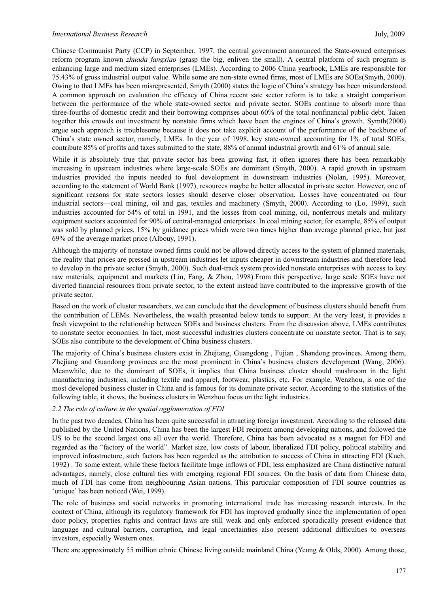Chinese Communist Party (CCP) in September, 1997, the central government announced the State-owned enterprises reform program known *zhuada fangxiao* (grasp the big, enliven the small). A central platform of such program is enhancing large and medium sized enterprises (LMEs). According to 2006 China yearbook, LMEs are responsible for 75.43% of gross industrial output value. While some are non-state owned firms, most of LMEs are SOEs(Smyth, 2000). Owing to that LMEs has been misrepresented, Smyth (2000) states the logic of China's strategy has been misunderstood. A common approach on evaluation the efficacy of China recent sate sector reform is to take a straight comparison between the performance of the whole state-owned sector and private sector. SOEs continue to absorb more than three-fourths of domestic credit and their borrowing comprises about 60% of the total nonfinancial public debt. Taken together this crowds out investment by nonstate firms which have been the engines of China's growth. Symth(2000) argue such approach is troublesome because it does not take explicit account of the performance of the backbone of China's state owned sector, namely, LMEs. In the year of 1998, key state-owned accounting for 1% of total SOEs, contribute 85% of profits and taxes submitted to the state; 88% of annual industrial growth and 61% of annual sale.

While it is absolutely true that private sector has been growing fast, it often ignores there has been remarkably increasing in upstream industries where large-scale SOEs are dominant (Smyth, 2000). A rapid growth in upstream industries provided the inputs needed to fuel development in downstream industries (Nolan, 1995). Moreover, according to the statement of World Bank (1997), resources maybe be better allocated in private sector. However, one of significant reasons for state sectors losses should deserve closer observation. Losses have concentrated on four industrial sectors—coal mining, oil and gas, textiles and machinery (Smyth, 2000). According to (Lo, 1999), such industries accounted for 54% of total in 1991, and the losses from coal mining, oil, nonferrous metals and military equipment sectors accounted for 90% of central-managed enterprises. In coal mining sector, for example, 85% of output was sold by planned prices, 15% by guidance prices which were two times higher than average planned price, but just 69% of the average market price (Albouy, 1991).

Although the majority of nonstate owned firms could not be allowed directly access to the system of planned materials, the reality that prices are pressed in upstream industries let inputs cheaper in downstream industries and therefore lead to develop in the private sector (Smyth, 2000). Such dual-track system provided nonstate enterprises with access to key raw materials, equipment and markets (Lin, Fang, & Zhou, 1998).From this perspective, large scale SOEs have not diverted financial resources from private sector, to the extent instead have contributed to the impressive growth of the private sector.

Based on the work of cluster researchers, we can conclude that the development of business clusters should benefit from the contribution of LEMs. Nevertheless, the wealth presented below tends to support. At the very least, it provides a fresh viewpoint to the relationship between SOEs and business clusters. From the discussion above, LMEs contributes to nonstate sector economies. In fact, most successful industries clusters concentrate on nonstate sector. That is to say, SOEs also contribute to the development of China business clusters.

The majority of China's business clusters exist in Zhejiang, Guangdong , Fujian , Shandong provinces. Among them, Zhejiang and Guandong provinces are the most prominent in China's business clusters development (Wang, 2006). Meanwhile, due to the dominant of SOEs, it implies that China business cluster should mushroom in the light manufacturing industries, including textile and apparel, footwear, plastics, etc. For example, Wenzhou, is one of the most developed business cluster in China and is famous for its dominate private sector. According to the statistics of the following table, it shows, the business clusters in Wenzhou focus on the light industries.

## *2.2 The role of culture in the spatial agglomeration of FDI*

In the past two decades, China has been quite successful in attracting foreign investment. According to the released data published by the United Nations, China has been the largest FDI recipient among developing nations, and followed the US to be the second largest one all over the world. Therefore, China has been advocated as a magnet for FDI and regarded as the "factory of the world". Market size, low costs of labour, liberalized FDI policy, political stability and improved infrastructure, such factors has been regarded as the attribution to success of China in attracting FDI (Kueh, 1992) . To some extent, while these factors facilitate huge inflows of FDI, less emphasized are China distinctive natural advantages, namely, close cultural ties with emerging regional FDI sources. On the basis of data from Chinese data, much of FDI has come from neighbouring Asian nations. This particular composition of FDI source countries as 'unique' has been noticed (Wei, 1999).

The role of business and social networks in promoting international trade has increasing research interests. In the context of China, although its regulatory framework for FDI has improved gradually since the implementation of open door policy, properties rights and contract laws are still weak and only enforced sporadically present evidence that language and cultural barriers, corruption, and legal uncertainties also present additional difficulties to overseas investors, especially Western ones.

There are approximately 55 million ethnic Chinese living outside mainland China (Yeung & Olds, 2000). Among those,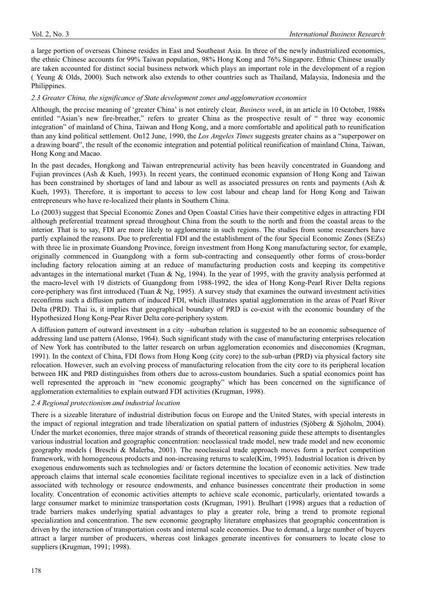a large portion of overseas Chinese resides in East and Southeast Asia. In three of the newly industrialized economies, the ethnic Chinese accounts for 99% Taiwan population, 98% Hong Kong and 76% Singapore. Ethnic Chinese usually are taken accounted for distinct social business network which plays an important role in the development of a region ( Yeung & Olds, 2000). Such network also extends to other countries such as Thailand, Malaysia, Indonesia and the Philippines.

## *2.3 Greater China, the significance of State development zones and agglomeration economies*

Although, the precise meaning of 'greater China' is not entirely clear*, Business week*, in an article in 10 October, 1988s entitled "Asian's new fire-breather," refers to greater China as the prospective result of " three way economic integration" of mainland of China, Taiwan and Hong Kong, and a more comfortable and apolitical path to reunification than any kind political settlement. On12 June, 1990, the *Los Angeles Times* suggests greater chains as a "superpower on a drawing board", the result of the economic integration and potential political reunification of mainland China, Taiwan, Hong Kong and Macao.

In the past decades, Hongkong and Taiwan entrepreneurial activity has been heavily concentrated in Guandong and Fujian provinces (Ash & Kueh, 1993). In recent years, the continued economic expansion of Hong Kong and Taiwan has been constrained by shortages of land and labour as well as associated pressures on rents and payments (Ash & Kueh, 1993). Therefore, it is important to access to low cost labour and cheap land for Hong Kong and Taiwan entrepreneurs who have re-localized their plants in Southern China.

Lo (2003) suggest that Special Economic Zones and Open Coastal Cities have their competitive edges in attracting FDI although preferential treatment spread throughout China from the south to the north and from the coastal areas to the interior. That is to say, FDI are more likely to agglomerate in such regions. The studies from some researchers have partly explained the reasons. Due to preferential FDI and the establishment of the four Special Economic Zones (SEZs) with three lie in proximate Guandong Province, foreign investment from Hong Kong manufacturing sector, for example, originally commenced in Guangdong with a form sub-contracting and consequently other forms of cross-border including factory relocation aiming at an reduce of manufacturing production costs and keeping its competitive advantages in the international market (Tuan & Ng, 1994). In the year of 1995, with the gravity analysis performed at the macro-level with 19 districts of Guangdong from 1988-1992, the idea of Hong Kong-Pearl River Delta regions core-periphery was first introduced (Tuan & Ng, 1995). A survey study that examines the outward investment activities reconfirms such a diffusion pattern of induced FDI, which illustrates spatial agglomeration in the areas of Pearl River Delta (PRD). Thai is, it implies that geographical boundary of PRD is co-exist with the economic boundary of the Hypothesized Hong Kong-Pear River Delta core-periphery system.

A diffusion pattern of outward investment in a city –suburban relation is suggested to be an economic subsequence of addressing land use pattern (Alonso, 1964). Such significant study with the case of manufacturing enterprises relocation of New York has contributed to the latter research on urban agglomeration economies and diseconomies (Krugman, 1991). In the context of China, FDI flows from Hong Kong (city core) to the sub-urban (PRD) via physical factory site relocation. However, such an evolving process of manufacturing relocation from the city core to its peripheral location between HK and PRD distinguishes from others due to across-custom boundaries. Such a spatial economics point has well represented the approach in "new economic geography" which has been concerned on the significance of agglomeration externalities to explain outward FDI activities (Krugman, 1998).

## *2.4 Regional protectionism and industrial location*

There is a sizeable literature of industrial distribution focus on Europe and the United States, with special interests in the impact of regional integration and trade liberalization on spatial pattern of industries (Sjöberg & Sjöholm, 2004). Under the market economies, three major strands of strands of theoretical reasoning guide these attempts to disentangles various industrial location and geographic concentration: neoclassical trade model, new trade model and new economic geography models ( Breschi & Malerba, 2001). The neoclassical trade approach moves form a perfect competition framework, with homogeneous products and non-increasing returns to scale(Kim, 1995). Industrial location is driven by exogenous enduwoments such as technologies and/ or factors determine the location of economic activities. New trade approach claims that internal scale economies facilitate regional incentives to specialize even in a lack of distinction associated with technology or resource endowments, and enhance businesses concentrate their production in some locality. Concentration of economic activities attempts to achieve scale economic, particularly, orientated towards a large consumer market to minimize transportation costs (Krugman, 1991). Brulhart (1998) argues that a reduction of trade barriers makes underlying spatial advantages to play a greater role, bring a trend to promote regional specialization and concentration. The new economic geography literature emphasizes that geographic concentration is driven by the interaction of transportation costs and internal scale economies. Due to demand, a large number of buyers attract a larger number of producers, whereas cost linkages generate incentives for consumers to locate close to suppliers (Krugman, 1991; 1998).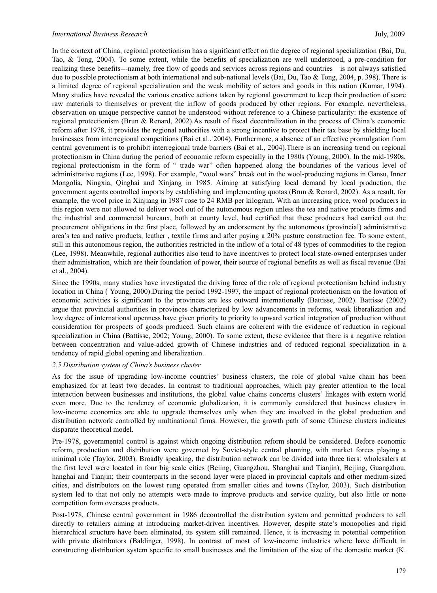In the context of China, regional protectionism has a significant effect on the degree of regional specialization (Bai, Du, Tao, & Tong, 2004). To some extent, while the benefits of specialization are well understood, a pre-condition for realizing these benefits---namely, free flow of goods and services across regions and countries—is not always satisfied due to possible protectionism at both international and sub-national levels (Bai, Du, Tao & Tong, 2004, p. 398). There is a limited degree of regional specialization and the weak mobility of actors and goods in this nation (Kumar, 1994). Many studies have revealed the various creative actions taken by regional government to keep their production of scare raw materials to themselves or prevent the inflow of goods produced by other regions. For example, nevertheless, observation on unique perspective cannot be understood without reference to a Chinese particularity: the existence of regional protectionism (Brun & Renard, 2002).As result of fiscal decentralization in the process of China's economic reform after 1978, it provides the regional authorities with a strong incentive to protect their tax base by shielding local businesses from interregional competitions (Bai et al., 2004). Furthermore, a absence of an effective promulgation from central government is to prohibit interregional trade barriers (Bai et al., 2004).There is an increasing trend on regional protectionism in China during the period of economic reform especially in the 1980s (Young, 2000). In the mid-1980s, regional protectionism in the form of " trade war" often happened along the boundaries of the various level of administrative regions (Lee, 1998). For example, "wool wars" break out in the wool-producing regions in Gansu, Inner Mongolia, Ningxia, Qinghai and Xinjang in 1985. Aiming at satisfying local demand by local production, the government agents controlled imports by establishing and implementing quotas (Brun & Renard, 2002). As a result, for example, the wool price in Xinjiang in 1987 rose to 24 RMB per kilogram. With an increasing price, wool producers in this region were not allowed to deliver wool out of the autonomous region unless the tea and native products firms and the industrial and commercial bureaux, both at county level, had certified that these producers had carried out the procurement obligations in the first place, followed by an endorsement by the autonomous (provincial) administrative area's tea and native products, leather , textile firms and after paying a 20% pasture construction fee. To some extent, still in this autonomous region, the authorities restricted in the inflow of a total of 48 types of commodities to the region (Lee, 1998). Meanwhile, regional authorities also tend to have incentives to protect local state-owned enterprises under their administration, which are their foundation of power, their source of regional benefits as well as fiscal revenue (Bai et al., 2004).

Since the 1990s, many studies have investigated the driving force of the role of regional protectionism behind industry location in China ( Young, 2000).During the period 1992-1997, the impact of regional protectionism on the lovation of economic activities is significant to the provinces are less outward internationally (Battisse, 2002). Battisse (2002) argue that provincial authorities in provinces characterized by low advancements in reforms, weak liberalization and low degree of international openness have given priority to priority to upward vertical integration of production without consideration for prospects of goods produced. Such claims are coherent with the evidence of reduction in regional specialization in China (Battisse, 2002; Young, 2000). To some extent, these evidence that there is a negative relation between concentration and value-added growth of Chinese industries and of reduced regional specialization in a tendency of rapid global opening and liberalization.

## *2.5 Distribution system of China's business cluster*

As for the issue of upgrading low-income countries' business clusters, the role of global value chain has been emphasized for at least two decades. In contrast to traditional approaches, which pay greater attention to the local interaction between businesses and institutions, the global value chains concerns clusters' linkages with extern world even more. Due to the tendency of economic globalization, it is commonly considered that business clusters in low-income economies are able to upgrade themselves only when they are involved in the global production and distribution network controlled by multinational firms. However, the growth path of some Chinese clusters indicates disparate theoretical model.

Pre-1978, governmental control is against which ongoing distribution reform should be considered. Before economic reform, production and distribution were governed by Soviet-style central planning, with market forces playing a minimal role (Taylor, 2003). Broadly speaking, the distribution network can be divided into three tiers: wholesalers at the first level were located in four big scale cities (Beiing, Guangzhou, Shanghai and Tianjin), Beijing, Guangzhou, hanghai and Tianjin; their counterparts in the second layer were placed in provincial capitals and other medium-sized cities, and distributors on the lowest rung operated from smaller cities and towns (Taylor, 2003). Such distribution system led to that not only no attempts were made to improve products and service quality, but also little or none competition form overseas products.

Post-1978, Chinese central government in 1986 decontrolled the distribution system and permitted producers to sell directly to retailers aiming at introducing market-driven incentives. However, despite state's monopolies and rigid hierarchical structure have been eliminated, its system still remained. Hence, it is increasing in potential competition with private distributors (Baldinger, 1998). In contrast of most of low-income industries where have difficult in constructing distribution system specific to small businesses and the limitation of the size of the domestic market (K.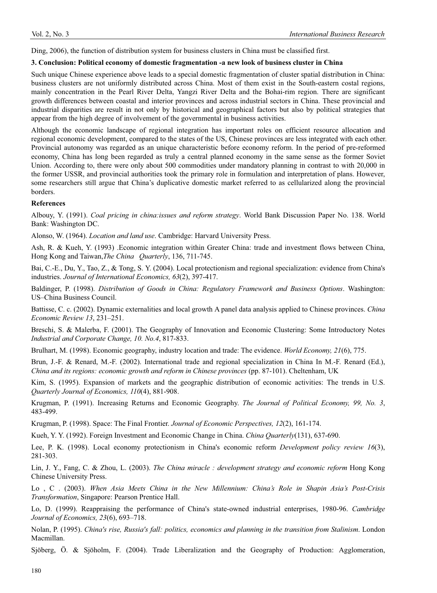Ding, 2006), the function of distribution system for business clusters in China must be classified first.

## **3. Conclusion: Political economy of domestic fragmentation -a new look of business cluster in China**

Such unique Chinese experience above leads to a special domestic fragmentation of cluster spatial distribution in China: business clusters are not uniformly distributed across China. Most of them exist in the South-eastern costal regions, mainly concentration in the Pearl River Delta, Yangzi River Delta and the Bohai-rim region. There are significant growth differences between coastal and interior provinces and across industrial sectors in China. These provincial and industrial disparities are result in not only by historical and geographical factors but also by political strategies that appear from the high degree of involvement of the governmental in business activities.

Although the economic landscape of regional integration has important roles on efficient resource allocation and regional economic development, compared to the states of the US, Chinese provinces are less integrated with each other. Provincial autonomy was regarded as an unique characteristic before economy reform. In the period of pre-reformed economy, China has long been regarded as truly a central planned economy in the same sense as the former Soviet Union. According to, there were only about 500 commodities under mandatory planning in contrast to with 20,000 in the former USSR, and provincial authorities took the primary role in formulation and interpretation of plans. However, some researchers still argue that China's duplicative domestic market referred to as cellularized along the provincial borders.

## **References**

Albouy, Y. (1991). *Coal pricing in china:issues and reform strategy*. World Bank Discussion Paper No. 138. World Bank: Washington DC.

Alonso, W. (1964). *Location and land use*. Cambridge: Harvard University Press.

Ash, R. & Kueh, Y. (1993) .Economic integration within Greater China: trade and investment flows between China, Hong Kong and Taiwan,*The China Quarterly*, 136, 711-745.

Bai, C.-E., Du, Y., Tao, Z., & Tong, S. Y. (2004). Local protectionism and regional specialization: evidence from China's industries. *Journal of International Economics, 63*(2), 397-417.

Baldinger, P. (1998). *Distribution of Goods in China: Regulatory Framework and Business Options*. Washington: US–China Business Council.

Battisse, C. c. (2002). Dynamic externalities and local growth A panel data analysis applied to Chinese provinces. *China Economic Review 13*, 231–251.

Breschi, S. & Malerba, F. (2001). The Geography of Innovation and Economic Clustering: Some Introductory Notes *Industrial and Corporate Change, 10. No.4*, 817-833.

Brulhart, M. (1998). Economic geography, industry location and trade: The evidence. *World Economy, 21*(6), 775.

Brun, J.-F. & Renard, M.-F. (2002). International trade and regional specialization in China In M.-F. Renard (Ed.), *China and its regions: economic growth and reform in Chinese provinces* (pp. 87-101). Cheltenham, UK

Kim, S. (1995). Expansion of markets and the geographic distribution of economic activities: The trends in U.S. *Quarterly Journal of Economics, 110*(4), 881-908.

Krugman, P. (1991). Increasing Returns and Economic Geography. *The Journal of Political Economy, 99, No. 3*, 483-499.

Krugman, P. (1998). Space: The Final Frontier. *Journal of Economic Perspectives, 12*(2), 161-174.

Kueh, Y. Y. (1992). Foreign Investment and Economic Change in China. *China Quarterly*(131), 637-690.

Lee, P. K. (1998). Local economy protectionism in China's economic reform *Development policy review 16*(3), 281-303.

Lin, J. Y., Fang, C. & Zhou, L. (2003). *The China miracle : development strategy and economic reform* Hong Kong Chinese University Press.

Lo , C . (2003). *When Asia Meets China in the New Millennium: China's Role in Shapin Asia's Post-Crisis Transformation*, Singapore: Pearson Prentice Hall.

Lo, D. (1999). Reappraising the performance of China's state-owned industrial enterprises, 1980-96. *Cambridge Journal of Economics, 23*(6), 693–718.

Nolan, P. (1995). *China's rise, Russia's fall: politics, economics and planning in the transition from Stalinism*. London Macmillan.

Sjöberg, Ö. & Sjöholm, F. (2004). Trade Liberalization and the Geography of Production: Agglomeration,